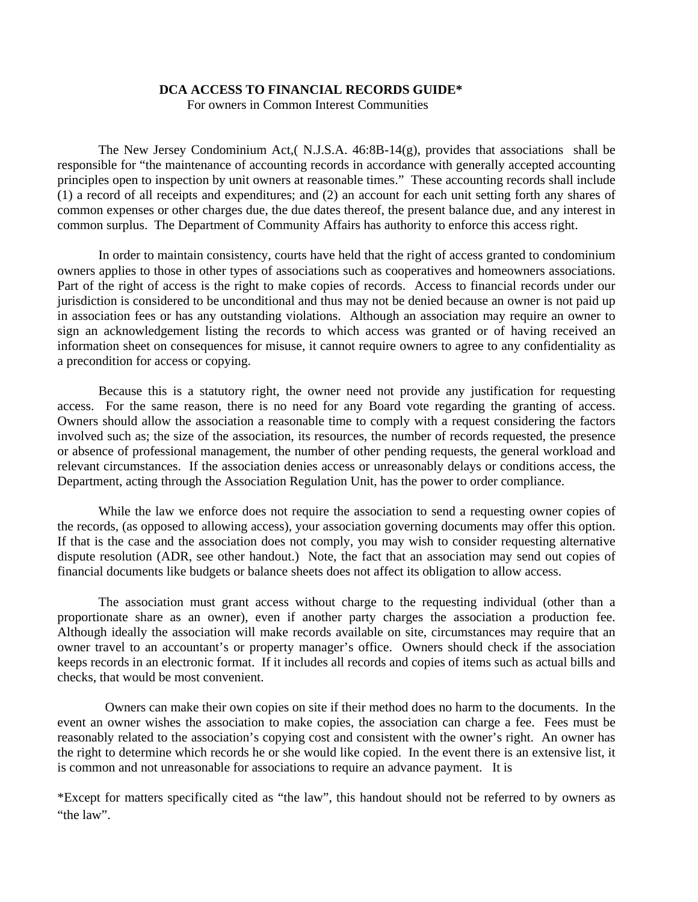## **DCA ACCESS TO FINANCIAL RECORDS GUIDE\***

For owners in Common Interest Communities

The New Jersey Condominium Act,( N.J.S.A. 46:8B-14(g), provides that associations shall be responsible for "the maintenance of accounting records in accordance with generally accepted accounting principles open to inspection by unit owners at reasonable times." These accounting records shall include (1) a record of all receipts and expenditures; and (2) an account for each unit setting forth any shares of common expenses or other charges due, the due dates thereof, the present balance due, and any interest in common surplus. The Department of Community Affairs has authority to enforce this access right.

In order to maintain consistency, courts have held that the right of access granted to condominium owners applies to those in other types of associations such as cooperatives and homeowners associations. Part of the right of access is the right to make copies of records. Access to financial records under our jurisdiction is considered to be unconditional and thus may not be denied because an owner is not paid up in association fees or has any outstanding violations. Although an association may require an owner to sign an acknowledgement listing the records to which access was granted or of having received an information sheet on consequences for misuse, it cannot require owners to agree to any confidentiality as a precondition for access or copying.

Because this is a statutory right, the owner need not provide any justification for requesting access. For the same reason, there is no need for any Board vote regarding the granting of access. Owners should allow the association a reasonable time to comply with a request considering the factors involved such as; the size of the association, its resources, the number of records requested, the presence or absence of professional management, the number of other pending requests, the general workload and relevant circumstances. If the association denies access or unreasonably delays or conditions access, the Department, acting through the Association Regulation Unit, has the power to order compliance.

While the law we enforce does not require the association to send a requesting owner copies of the records, (as opposed to allowing access), your association governing documents may offer this option. If that is the case and the association does not comply, you may wish to consider requesting alternative dispute resolution (ADR, see other handout.) Note, the fact that an association may send out copies of financial documents like budgets or balance sheets does not affect its obligation to allow access.

The association must grant access without charge to the requesting individual (other than a proportionate share as an owner), even if another party charges the association a production fee. Although ideally the association will make records available on site, circumstances may require that an owner travel to an accountant's or property manager's office. Owners should check if the association keeps records in an electronic format. If it includes all records and copies of items such as actual bills and checks, that would be most convenient.

 Owners can make their own copies on site if their method does no harm to the documents. In the event an owner wishes the association to make copies, the association can charge a fee. Fees must be reasonably related to the association's copying cost and consistent with the owner's right. An owner has the right to determine which records he or she would like copied. In the event there is an extensive list, it is common and not unreasonable for associations to require an advance payment. It is

\*Except for matters specifically cited as "the law", this handout should not be referred to by owners as "the law".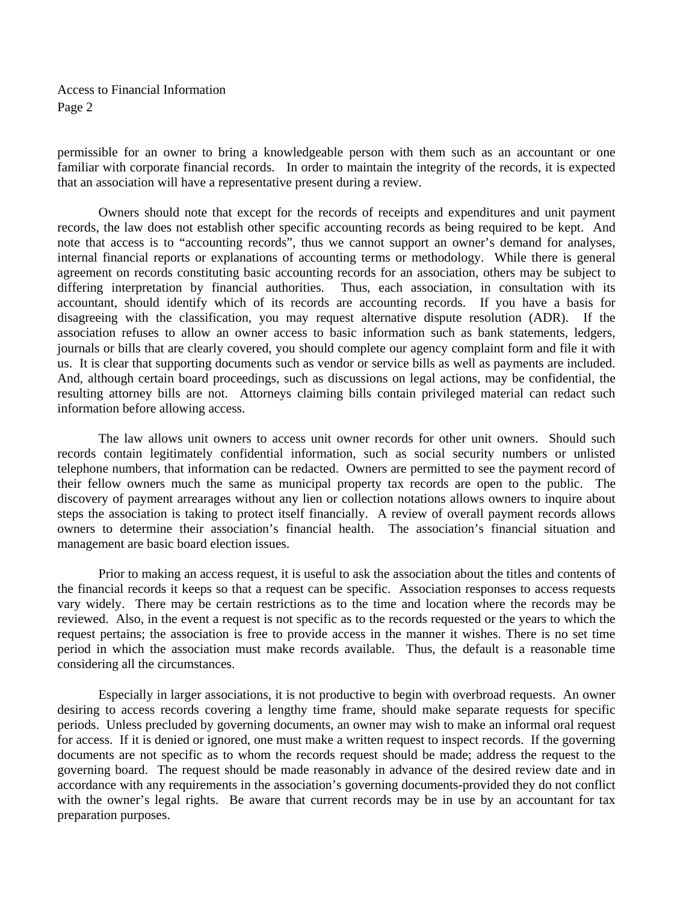Access to Financial Information Page 2

permissible for an owner to bring a knowledgeable person with them such as an accountant or one familiar with corporate financial records. In order to maintain the integrity of the records, it is expected that an association will have a representative present during a review.

Owners should note that except for the records of receipts and expenditures and unit payment records, the law does not establish other specific accounting records as being required to be kept. And note that access is to "accounting records", thus we cannot support an owner's demand for analyses, internal financial reports or explanations of accounting terms or methodology. While there is general agreement on records constituting basic accounting records for an association, others may be subject to differing interpretation by financial authorities. Thus, each association, in consultation with its accountant, should identify which of its records are accounting records. If you have a basis for disagreeing with the classification, you may request alternative dispute resolution (ADR). If the association refuses to allow an owner access to basic information such as bank statements, ledgers, journals or bills that are clearly covered, you should complete our agency complaint form and file it with us. It is clear that supporting documents such as vendor or service bills as well as payments are included. And, although certain board proceedings, such as discussions on legal actions, may be confidential, the resulting attorney bills are not. Attorneys claiming bills contain privileged material can redact such information before allowing access.

The law allows unit owners to access unit owner records for other unit owners. Should such records contain legitimately confidential information, such as social security numbers or unlisted telephone numbers, that information can be redacted. Owners are permitted to see the payment record of their fellow owners much the same as municipal property tax records are open to the public. The discovery of payment arrearages without any lien or collection notations allows owners to inquire about steps the association is taking to protect itself financially. A review of overall payment records allows owners to determine their association's financial health. The association's financial situation and management are basic board election issues.

Prior to making an access request, it is useful to ask the association about the titles and contents of the financial records it keeps so that a request can be specific. Association responses to access requests vary widely. There may be certain restrictions as to the time and location where the records may be reviewed. Also, in the event a request is not specific as to the records requested or the years to which the request pertains; the association is free to provide access in the manner it wishes. There is no set time period in which the association must make records available. Thus, the default is a reasonable time considering all the circumstances.

 Especially in larger associations, it is not productive to begin with overbroad requests. An owner desiring to access records covering a lengthy time frame, should make separate requests for specific periods. Unless precluded by governing documents, an owner may wish to make an informal oral request for access. If it is denied or ignored, one must make a written request to inspect records. If the governing documents are not specific as to whom the records request should be made; address the request to the governing board. The request should be made reasonably in advance of the desired review date and in accordance with any requirements in the association's governing documents-provided they do not conflict with the owner's legal rights. Be aware that current records may be in use by an accountant for tax preparation purposes.